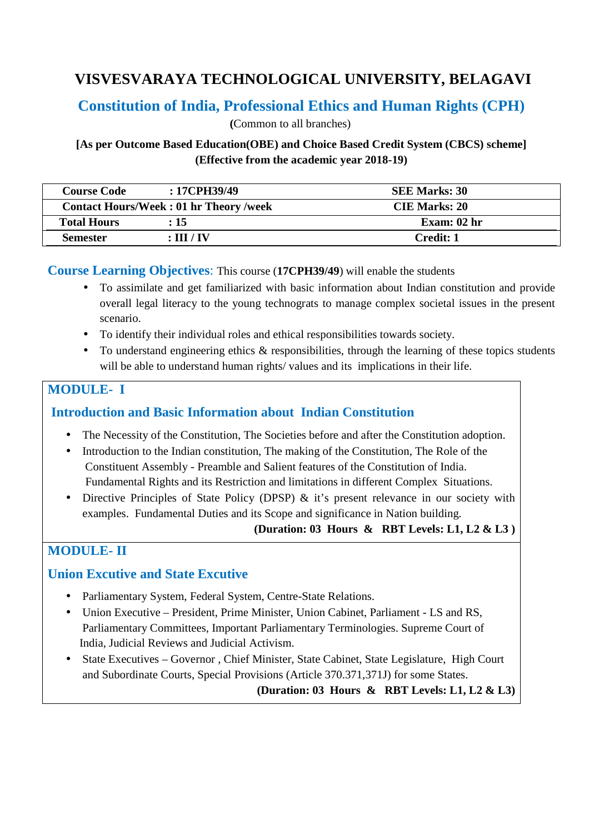# **VISVESVARAYA TECHNOLOGICAL UNIVERSITY, BELAGAVI**

# **Constitution of India, Professional Ethics and Human Rights (CPH)**

 **(**Common to all branches)

**[As per Outcome Based Education(OBE) and Choice Based Credit System (CBCS) scheme] (Effective from the academic year 2018-19)** 

| <b>Course Code</b>                            | $:17$ CPH39/49 | <b>SEE Marks: 30</b> |
|-----------------------------------------------|----------------|----------------------|
| <b>Contact Hours/Week: 01 hr Theory /week</b> |                | <b>CIE Marks: 20</b> |
| <b>Total Hours</b>                            | :15            | Exam: $02hr$         |
| <b>Semester</b>                               | : III / IV     | Credit: 1            |

**Course Learning Objectives**: This course (**17CPH39/49**) will enable the students

- To assimilate and get familiarized with basic information about Indian constitution and provide overall legal literacy to the young technograts to manage complex societal issues in the present scenario.
- To identify their individual roles and ethical responsibilities towards society.
- To understand engineering ethics  $\&$  responsibilities, through the learning of these topics students will be able to understand human rights/ values and its implications in their life.

# **MODULE- I**

### **Introduction and Basic Information about Indian Constitution**

- The Necessity of the Constitution, The Societies before and after the Constitution adoption.
- Introduction to the Indian constitution, The making of the Constitution, The Role of the Constituent Assembly - Preamble and Salient features of the Constitution of India. Fundamental Rights and its Restriction and limitations in different Complex Situations.
- Directive Principles of State Policy (DPSP) & it's present relevance in our society with examples. Fundamental Duties and its Scope and significance in Nation building.

**(Duration: 03 Hours & RBT Levels: L1, L2 & L3 )** 

# **MODULE- II**

### **Union Excutive and State Excutive**

- Parliamentary System, Federal System, Centre-State Relations.
- Union Executive President, Prime Minister, Union Cabinet, Parliament LS and RS, Parliamentary Committees, Important Parliamentary Terminologies. Supreme Court of India, Judicial Reviews and Judicial Activism.
- State Executives Governor, Chief Minister, State Cabinet, State Legislature, High Court and Subordinate Courts, Special Provisions (Article 370.371,371J) for some States.

**(Duration: 03 Hours & RBT Levels: L1, L2 & L3)**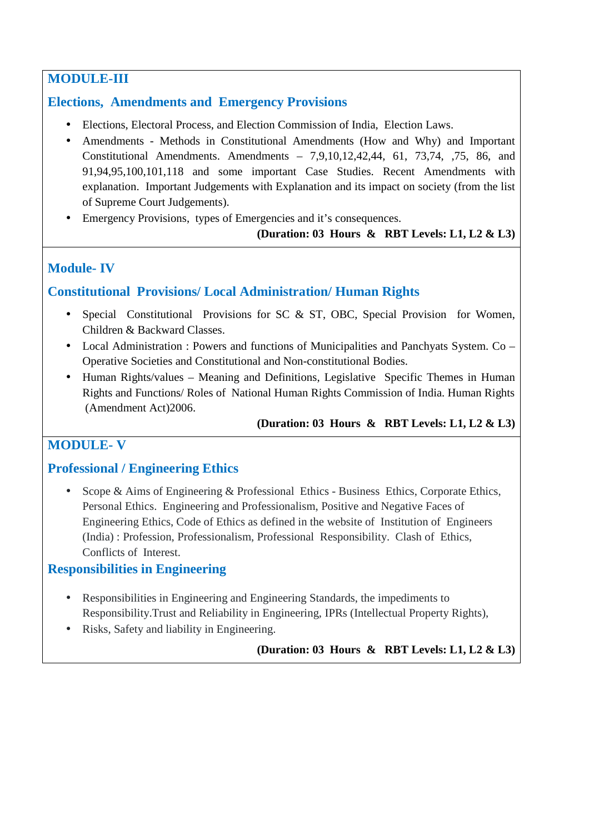# **MODULE-III**

# **Elections, Amendments and Emergency Provisions**

- Elections, Electoral Process, and Election Commission of India, Election Laws.
- Amendments Methods in Constitutional Amendments (How and Why) and Important Constitutional Amendments. Amendments – 7,9,10,12,42,44, 61, 73,74, ,75, 86, and 91,94,95,100,101,118 and some important Case Studies. Recent Amendments with explanation. Important Judgements with Explanation and its impact on society (from the list of Supreme Court Judgements).
- Emergency Provisions, types of Emergencies and it's consequences.

### **(Duration: 03 Hours & RBT Levels: L1, L2 & L3)**

# **Module- IV**

### **Constitutional Provisions/ Local Administration/ Human Rights**

- Special Constitutional Provisions for SC & ST, OBC, Special Provision for Women, Children & Backward Classes.
- Local Administration : Powers and functions of Municipalities and Panchyats System. Co Operative Societies and Constitutional and Non-constitutional Bodies.
- Human Rights/values Meaning and Definitions, Legislative Specific Themes in Human Rights and Functions/ Roles of National Human Rights Commission of India. Human Rights (Amendment Act)2006.

### **(Duration: 03 Hours & RBT Levels: L1, L2 & L3)**

# **MODULE- V**

# **Professional / Engineering Ethics**

• Scope & Aims of Engineering & Professional Ethics - Business Ethics, Corporate Ethics, Personal Ethics. Engineering and Professionalism, Positive and Negative Faces of Engineering Ethics, Code of Ethics as defined in the website of Institution of Engineers (India) : Profession, Professionalism, Professional Responsibility. Clash of Ethics, Conflicts of Interest.

# **Responsibilities in Engineering**

- Responsibilities in Engineering and Engineering Standards, the impediments to Responsibility.Trust and Reliability in Engineering, IPRs (Intellectual Property Rights),
- Risks, Safety and liability in Engineering.

### **(Duration: 03 Hours & RBT Levels: L1, L2 & L3)**